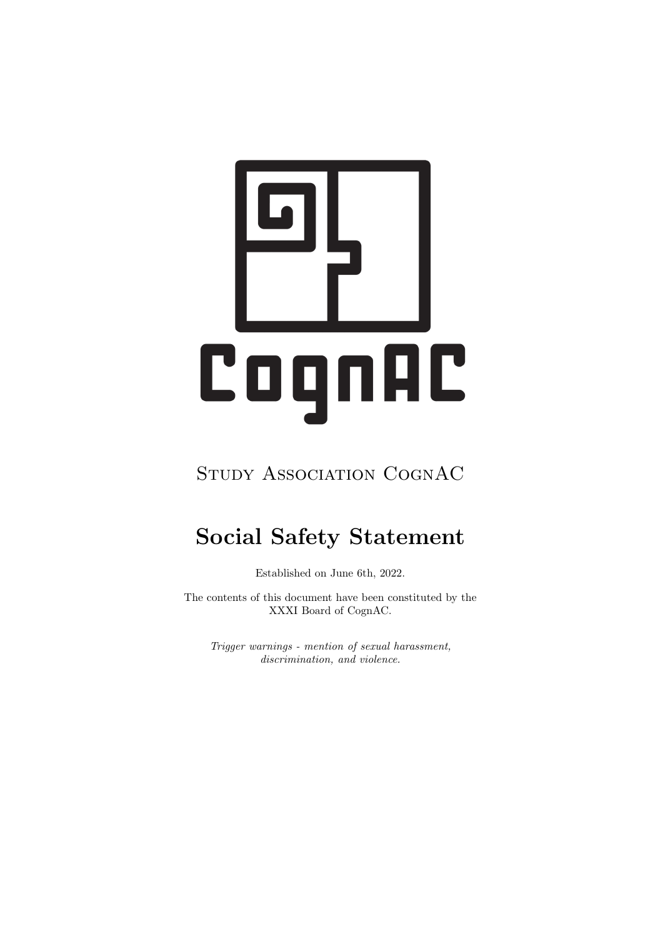# CognAC

## STUDY ASSOCIATION COGNAC

# Social Safety Statement

Established on June 6th, 2022.

The contents of this document have been constituted by the XXXI Board of CognAC.

Trigger warnings - mention of sexual harassment, discrimination, and violence.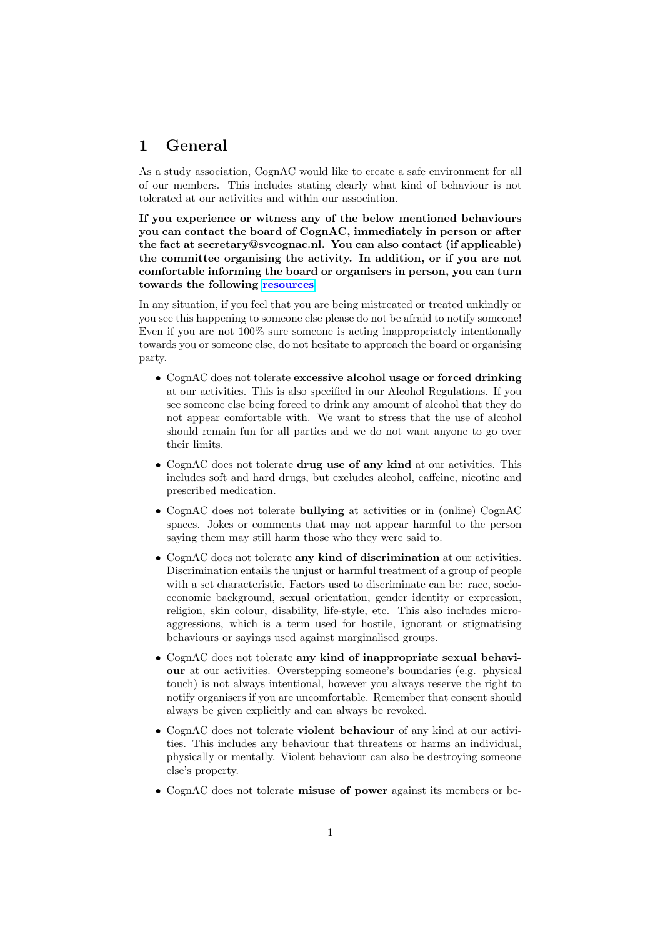### 1 General

As a study association, CognAC would like to create a safe environment for all of our members. This includes stating clearly what kind of behaviour is not tolerated at our activities and within our association.

If you experience or witness any of the below mentioned behaviours you can contact the board of CognAC, immediately in person or after the fact at secretary@svcognac.nl. You can also contact (if applicable) the committee organising the activity. In addition, or if you are not comfortable informing the board or organisers in person, you can turn towards the following [resources](https://www.ru.nl/currentstudents/during-your-studies/overview-counsellors-advisors/student-support/).

In any situation, if you feel that you are being mistreated or treated unkindly or you see this happening to someone else please do not be afraid to notify someone! Even if you are not 100% sure someone is acting inappropriately intentionally towards you or someone else, do not hesitate to approach the board or organising party.

- CognAC does not tolerate excessive alcohol usage or forced drinking at our activities. This is also specified in our Alcohol Regulations. If you see someone else being forced to drink any amount of alcohol that they do not appear comfortable with. We want to stress that the use of alcohol should remain fun for all parties and we do not want anyone to go over their limits.
- CognAC does not tolerate drug use of any kind at our activities. This includes soft and hard drugs, but excludes alcohol, caffeine, nicotine and prescribed medication.
- CognAC does not tolerate bullying at activities or in (online) CognAC spaces. Jokes or comments that may not appear harmful to the person saying them may still harm those who they were said to.
- CognAC does not tolerate any kind of discrimination at our activities. Discrimination entails the unjust or harmful treatment of a group of people with a set characteristic. Factors used to discriminate can be: race, socioeconomic background, sexual orientation, gender identity or expression, religion, skin colour, disability, life-style, etc. This also includes microaggressions, which is a term used for hostile, ignorant or stigmatising behaviours or sayings used against marginalised groups.
- CognAC does not tolerate any kind of inappropriate sexual behaviour at our activities. Overstepping someone's boundaries (e.g. physical touch) is not always intentional, however you always reserve the right to notify organisers if you are uncomfortable. Remember that consent should always be given explicitly and can always be revoked.
- CognAC does not tolerate violent behaviour of any kind at our activities. This includes any behaviour that threatens or harms an individual, physically or mentally. Violent behaviour can also be destroying someone else's property.
- CognAC does not tolerate misuse of power against its members or be-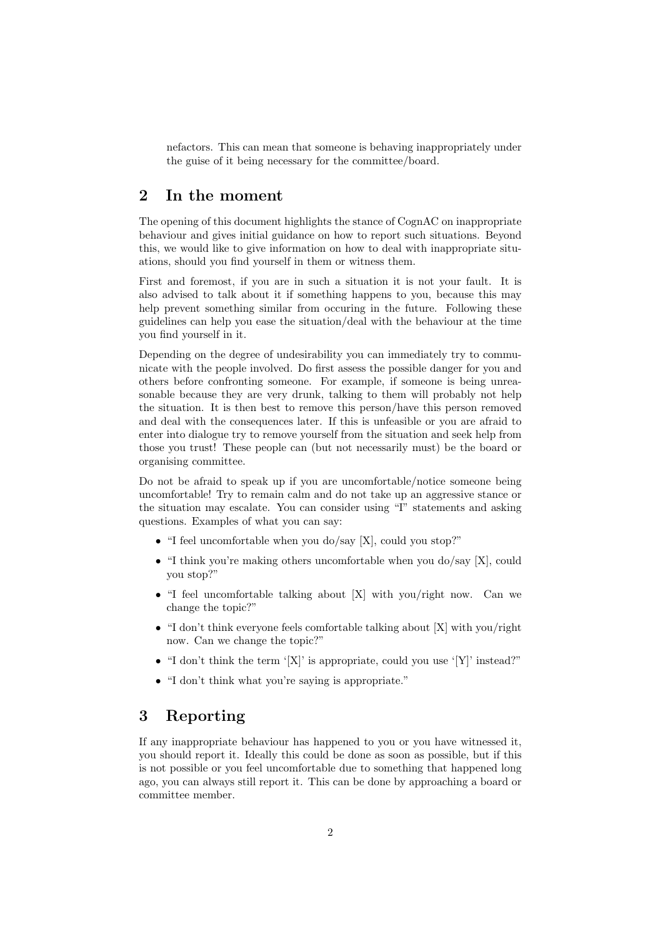nefactors. This can mean that someone is behaving inappropriately under the guise of it being necessary for the committee/board.

### 2 In the moment

The opening of this document highlights the stance of CognAC on inappropriate behaviour and gives initial guidance on how to report such situations. Beyond this, we would like to give information on how to deal with inappropriate situations, should you find yourself in them or witness them.

First and foremost, if you are in such a situation it is not your fault. It is also advised to talk about it if something happens to you, because this may help prevent something similar from occuring in the future. Following these guidelines can help you ease the situation/deal with the behaviour at the time you find yourself in it.

Depending on the degree of undesirability you can immediately try to communicate with the people involved. Do first assess the possible danger for you and others before confronting someone. For example, if someone is being unreasonable because they are very drunk, talking to them will probably not help the situation. It is then best to remove this person/have this person removed and deal with the consequences later. If this is unfeasible or you are afraid to enter into dialogue try to remove yourself from the situation and seek help from those you trust! These people can (but not necessarily must) be the board or organising committee.

Do not be afraid to speak up if you are uncomfortable/notice someone being uncomfortable! Try to remain calm and do not take up an aggressive stance or the situation may escalate. You can consider using "I" statements and asking questions. Examples of what you can say:

- "I feel uncomfortable when you do/say [X], could you stop?"
- "I think you're making others uncomfortable when you do/say [X], could you stop?"
- "I feel uncomfortable talking about [X] with you/right now. Can we change the topic?"
- "I don't think everyone feels comfortable talking about [X] with you/right now. Can we change the topic?"
- "I don't think the term  $'[X]'$  is appropriate, could you use  $'[Y]'$  instead?"
- "I don't think what you're saying is appropriate."

### 3 Reporting

If any inappropriate behaviour has happened to you or you have witnessed it, you should report it. Ideally this could be done as soon as possible, but if this is not possible or you feel uncomfortable due to something that happened long ago, you can always still report it. This can be done by approaching a board or committee member.